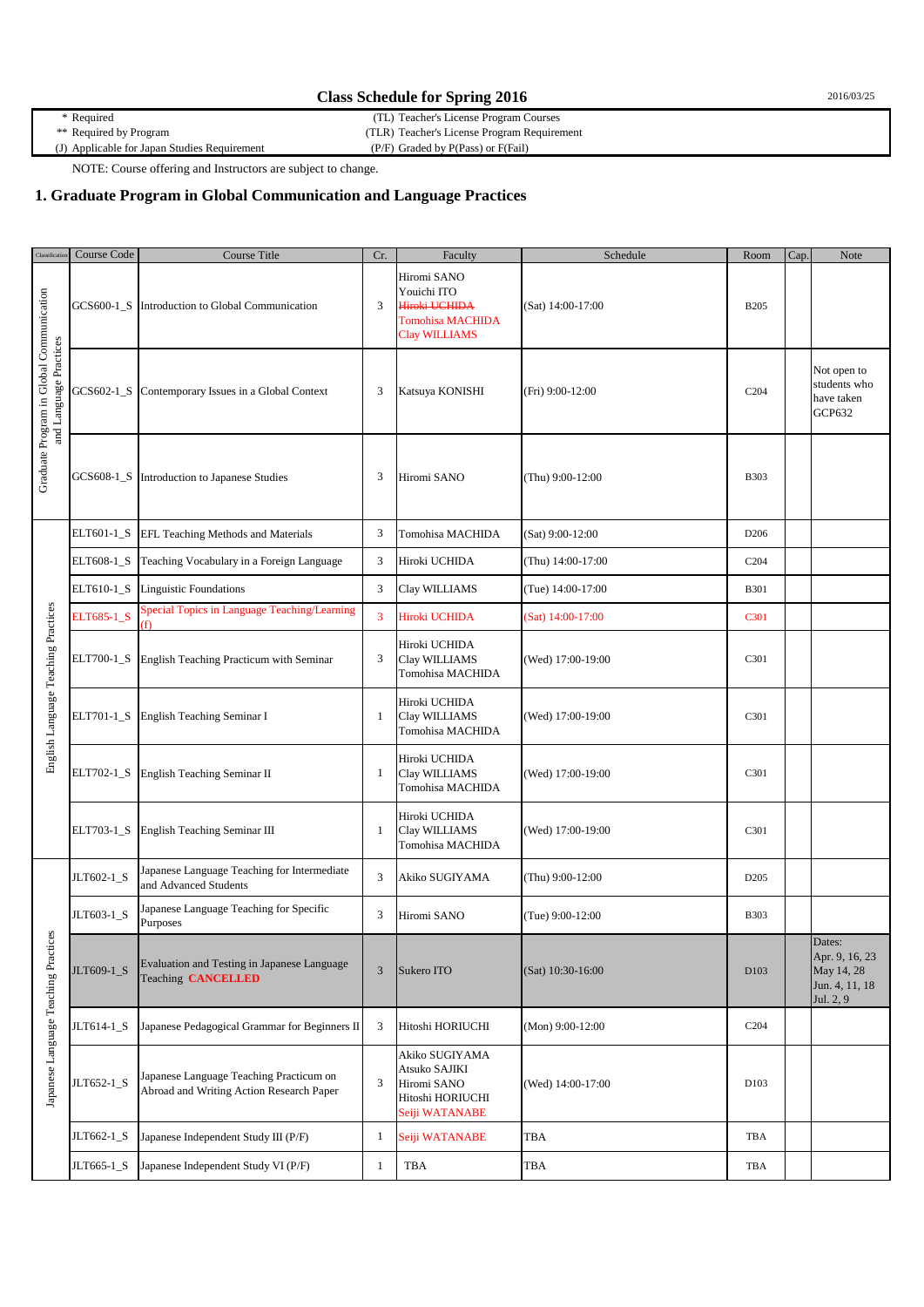| <b>Class Schedule for Spring 2016</b>        |                                             |  |  |  |
|----------------------------------------------|---------------------------------------------|--|--|--|
| * Required                                   | (TL) Teacher's License Program Courses      |  |  |  |
| ** Required by Program                       | (TLR) Teacher's License Program Requirement |  |  |  |
| (J) Applicable for Japan Studies Requirement | $(P/F)$ Graded by $P(Pass)$ or $F(Fail)$    |  |  |  |

NOTE: Course offering and Instructors are subject to change.

## **1. Graduate Program in Global Communication and Language Practices**

| Classificatio                                                      | Course Code | Course Title                                                                        | Cr.            | Faculty                                                                                        | Schedule          | Room             | Cap. | Note                                                                  |
|--------------------------------------------------------------------|-------------|-------------------------------------------------------------------------------------|----------------|------------------------------------------------------------------------------------------------|-------------------|------------------|------|-----------------------------------------------------------------------|
| Graduate Program in Global Communication<br>and Language Practices |             | GCS600-1_S Introduction to Global Communication                                     | 3              | Hiromi SANO<br>Youichi ITO<br>Hiroki UCHIDA<br><b>Tomohisa MACHIDA</b><br><b>Clay WILLIAMS</b> | (Sat) 14:00-17:00 | <b>B205</b>      |      |                                                                       |
|                                                                    | GCS602-1_S  | Contemporary Issues in a Global Context                                             | 3              | Katsuya KONISHI                                                                                | (Fri) 9:00-12:00  | C <sub>204</sub> |      | Not open to<br>students who<br>have taken<br>GCP632                   |
|                                                                    | GCS608-1_S  | Introduction to Japanese Studies                                                    | 3              | Hiromi SANO                                                                                    | (Thu) 9:00-12:00  | <b>B303</b>      |      |                                                                       |
|                                                                    | ELT601-1_S  | EFL Teaching Methods and Materials                                                  | 3              | Tomohisa MACHIDA                                                                               | (Sat) 9:00-12:00  | D <sub>206</sub> |      |                                                                       |
|                                                                    | ELT608-1_S  | Teaching Vocabulary in a Foreign Language                                           | $\mathfrak{Z}$ | Hiroki UCHIDA                                                                                  | (Thu) 14:00-17:00 | C <sub>204</sub> |      |                                                                       |
| English Language Teaching Practices                                | ELT610-1_S  | Linguistic Foundations                                                              | $\mathfrak{Z}$ | Clay WILLIAMS                                                                                  | (Tue) 14:00-17:00 | <b>B301</b>      |      |                                                                       |
|                                                                    | ELT685-1 S  | Special Topics in Language Teaching/Learning<br>H)                                  | $\overline{3}$ | Hiroki UCHIDA                                                                                  | (Sat) 14:00-17:00 | C301             |      |                                                                       |
|                                                                    | ELT700-1_S  | English Teaching Practicum with Seminar                                             | 3              | Hiroki UCHIDA<br>Clay WILLIAMS<br>Tomohisa MACHIDA                                             | (Wed) 17:00-19:00 | C301             |      |                                                                       |
|                                                                    | ELT701-1_S  | English Teaching Seminar I                                                          | 1              | Hiroki UCHIDA<br>Clay WILLIAMS<br>Tomohisa MACHIDA                                             | (Wed) 17:00-19:00 | C301             |      |                                                                       |
|                                                                    | ELT702-1_S  | English Teaching Seminar II                                                         | 1              | Hiroki UCHIDA<br>Clay WILLIAMS<br>Tomohisa MACHIDA                                             | (Wed) 17:00-19:00 | C301             |      |                                                                       |
|                                                                    | ELT703-1_S  | English Teaching Seminar III                                                        | 1              | Hiroki UCHIDA<br>Clay WILLIAMS<br>Tomohisa MACHIDA                                             | (Wed) 17:00-19:00 | C301             |      |                                                                       |
| Japanese Language Teaching Practices                               | JLT602-1 S  | Japanese Language Teaching for Intermediate<br>and Advanced Students                | $\mathfrak{Z}$ | Akiko SUGIYAMA                                                                                 | (Thu) 9:00-12:00  | D <sub>205</sub> |      |                                                                       |
|                                                                    | JLT603-1_S  | Japanese Language Teaching for Specific<br>Purposes                                 | 3              | Hiromi SANO                                                                                    | (Tue) 9:00-12:00  | <b>B303</b>      |      |                                                                       |
|                                                                    | JLT609-1_S  | Evaluation and Testing in Japanese Language<br><b>Teaching CANCELLED</b>            | $\mathfrak{Z}$ | Sukero ITO                                                                                     | (Sat) 10:30-16:00 | D <sub>103</sub> |      | Dates:<br>Apr. 9, 16, 23<br>May 14, 28<br>Jun. 4, 11, 18<br>Jul. 2, 9 |
|                                                                    | JLT614-1_S  | Japanese Pedagogical Grammar for Beginners II                                       | 3              | Hitoshi HORIUCHI                                                                               | (Mon) 9:00-12:00  | C <sub>204</sub> |      |                                                                       |
|                                                                    | JLT652-1_S  | Japanese Language Teaching Practicum on<br>Abroad and Writing Action Research Paper | 3              | Akiko SUGIYAMA<br>Atsuko SAJIKI<br>Hiromi SANO<br>Hitoshi HORIUCHI<br>Seiji WATANABE           | (Wed) 14:00-17:00 | D103             |      |                                                                       |
|                                                                    | JLT662-1_S  | Japanese Independent Study III (P/F)                                                | 1              | Seiji WATANABE                                                                                 | TBA               | TBA              |      |                                                                       |
|                                                                    | JLT665-1_S  | Japanese Independent Study VI (P/F)                                                 | 1              | TBA                                                                                            | TBA               | TBA              |      |                                                                       |